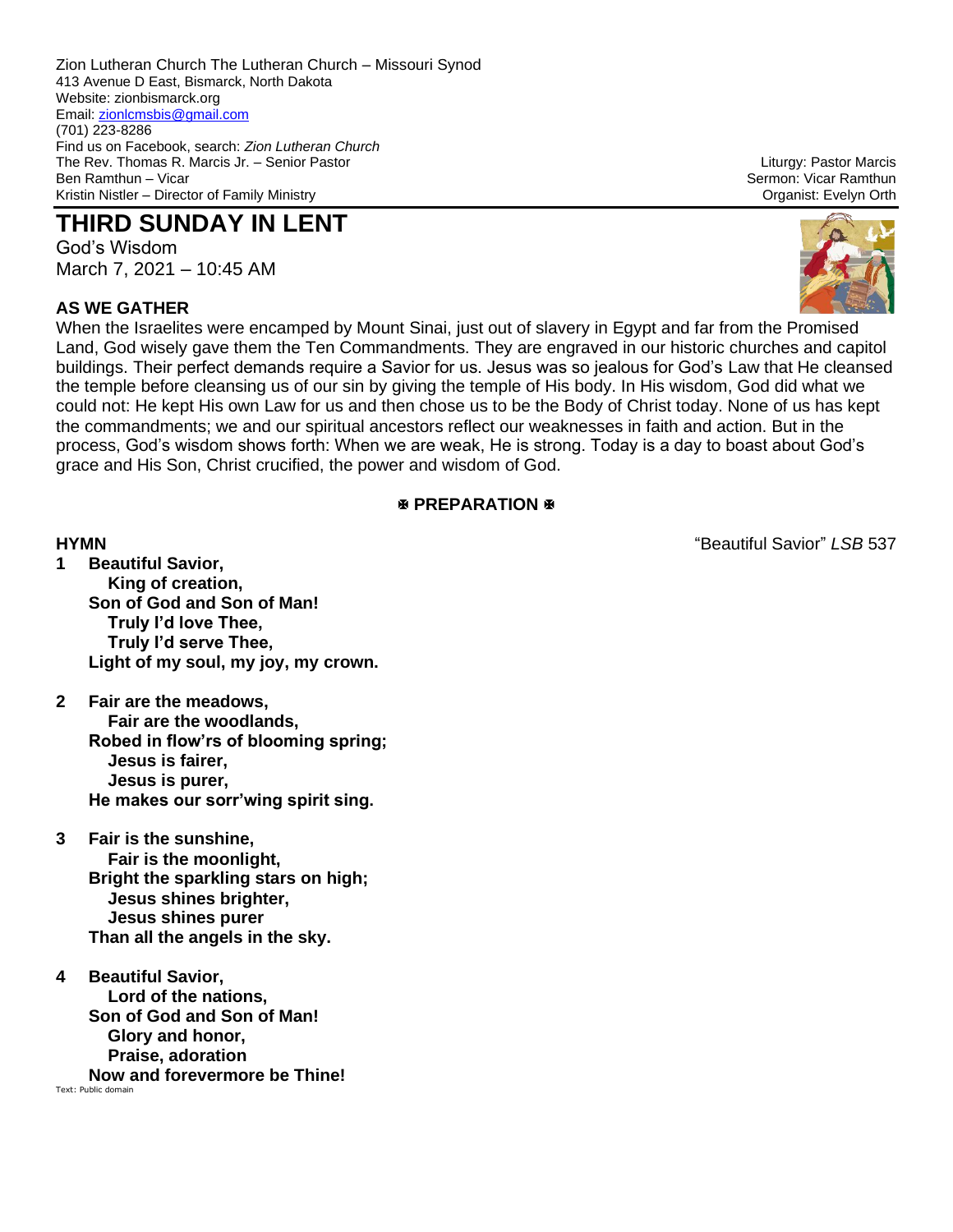Zion Lutheran Church The Lutheran Church – Missouri Synod 413 Avenue D East, Bismarck, North Dakota Website: zionbismarck.org Email[: zionlcmsbis@gmail.com](mailto:zionlcmsbis@gmail.com) (701) 223-8286 Find us on Facebook, search: *Zion Lutheran Church* The Rev. Thomas R. Marcis Jr. – Senior Pastor Liturgy: Pastor Marcis Kristin Nistler – Director of Family Ministry Organist: Evelyn Orth

# **THIRD SUNDAY IN LENT**

God's Wisdom March 7, 2021 – 10:45 AM

# **AS WE GATHER**

Sermon: Vicar Ramthun



When the Israelites were encamped by Mount Sinai, just out of slavery in Egypt and far from the Promised Land, God wisely gave them the Ten Commandments. They are engraved in our historic churches and capitol buildings. Their perfect demands require a Savior for us. Jesus was so jealous for God's Law that He cleansed the temple before cleansing us of our sin by giving the temple of His body. In His wisdom, God did what we could not: He kept His own Law for us and then chose us to be the Body of Christ today. None of us has kept the commandments; we and our spiritual ancestors reflect our weaknesses in faith and action. But in the process, God's wisdom shows forth: When we are weak, He is strong. Today is a day to boast about God's grace and His Son, Christ crucified, the power and wisdom of God.

### **EXPREPARATION**

- **1 Beautiful Savior, King of creation, Son of God and Son of Man! Truly I'd love Thee, Truly I'd serve Thee, Light of my soul, my joy, my crown.**
- **2 Fair are the meadows, Fair are the woodlands, Robed in flow'rs of blooming spring; Jesus is fairer, Jesus is purer, He makes our sorr'wing spirit sing.**
- **3 Fair is the sunshine, Fair is the moonlight, Bright the sparkling stars on high; Jesus shines brighter, Jesus shines purer Than all the angels in the sky.**
- **4 Beautiful Savior, Lord of the nations, Son of God and Son of Man! Glory and honor, Praise, adoration Now and forevermore be Thine!**

Text: Public domain

**HYMN** "Beautiful Savior" *LSB* 537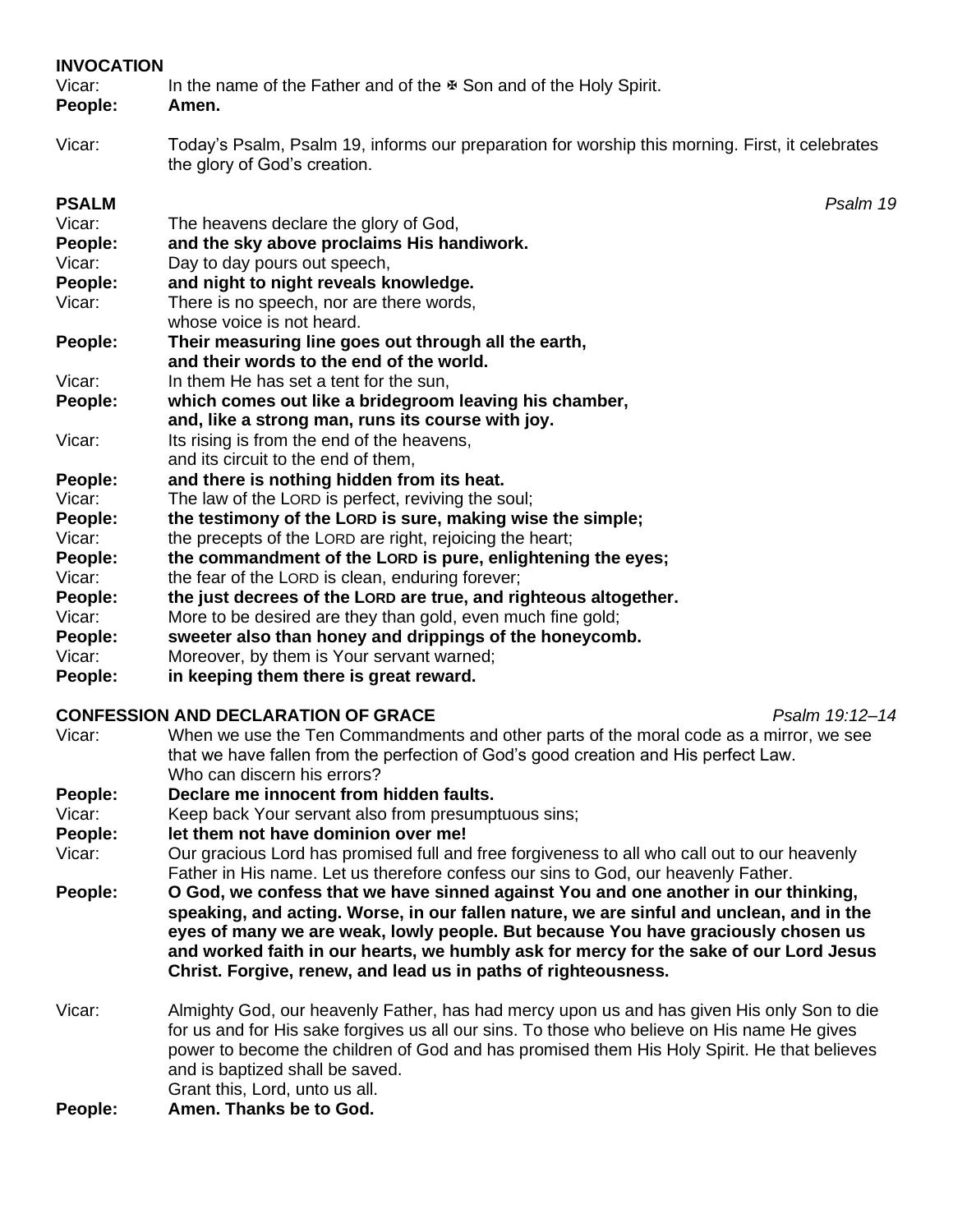# **INVOCATION**

| Vicar:<br>People: | In the name of the Father and of the $\mathcal F$ Son and of the Holy Spirit.<br>Amen.<br>Today's Psalm, Psalm 19, informs our preparation for worship this morning. First, it celebrates<br>the glory of God's creation. |  |
|-------------------|---------------------------------------------------------------------------------------------------------------------------------------------------------------------------------------------------------------------------|--|
| Vicar:            |                                                                                                                                                                                                                           |  |
| <b>PSALM</b>      | Psalm 19                                                                                                                                                                                                                  |  |
| Vicar:            | The heavens declare the glory of God,                                                                                                                                                                                     |  |
| People:           | and the sky above proclaims His handiwork.                                                                                                                                                                                |  |
| Vicar:            | Day to day pours out speech,                                                                                                                                                                                              |  |
| People:           | and night to night reveals knowledge.                                                                                                                                                                                     |  |
| Vicar:            | There is no speech, nor are there words,                                                                                                                                                                                  |  |
|                   | whose voice is not heard.                                                                                                                                                                                                 |  |
| People:           | Their measuring line goes out through all the earth,<br>and their words to the end of the world.                                                                                                                          |  |
| Vicar:            | In them He has set a tent for the sun,                                                                                                                                                                                    |  |
| People:           | which comes out like a bridegroom leaving his chamber,                                                                                                                                                                    |  |
|                   | and, like a strong man, runs its course with joy.                                                                                                                                                                         |  |
| Vicar:            | Its rising is from the end of the heavens,                                                                                                                                                                                |  |
|                   | and its circuit to the end of them,                                                                                                                                                                                       |  |
| People:           | and there is nothing hidden from its heat.                                                                                                                                                                                |  |
| Vicar:            | The law of the LORD is perfect, reviving the soul;                                                                                                                                                                        |  |
| People:           | the testimony of the LORD is sure, making wise the simple;                                                                                                                                                                |  |
| Vicar:            | the precepts of the LORD are right, rejoicing the heart;                                                                                                                                                                  |  |
| People:           | the commandment of the LORD is pure, enlightening the eyes;                                                                                                                                                               |  |
| Vicar:            | the fear of the LORD is clean, enduring forever;                                                                                                                                                                          |  |
| People:           | the just decrees of the LORD are true, and righteous altogether.                                                                                                                                                          |  |
| Vicar:            | More to be desired are they than gold, even much fine gold;                                                                                                                                                               |  |
| People:           | sweeter also than honey and drippings of the honeycomb.                                                                                                                                                                   |  |
| Vicar:            | Moreover, by them is Your servant warned;                                                                                                                                                                                 |  |
| People:           | in keeping them there is great reward.                                                                                                                                                                                    |  |

# **CONFESSION AND DECLARATION OF GRACE** *Psalm 19:12–14*

| Vicar:  | When we use the Ten Commandments and other parts of the moral code as a mirror, we see<br>that we have fallen from the perfection of God's good creation and His perfect Law.<br>Who can discern his errors?                                                                                                                                                                                                                    |  |  |
|---------|---------------------------------------------------------------------------------------------------------------------------------------------------------------------------------------------------------------------------------------------------------------------------------------------------------------------------------------------------------------------------------------------------------------------------------|--|--|
| People: | Declare me innocent from hidden faults.                                                                                                                                                                                                                                                                                                                                                                                         |  |  |
| Vicar:  | Keep back Your servant also from presumptuous sins;                                                                                                                                                                                                                                                                                                                                                                             |  |  |
| People: | let them not have dominion over me!                                                                                                                                                                                                                                                                                                                                                                                             |  |  |
| Vicar:  | Our gracious Lord has promised full and free forgiveness to all who call out to our heavenly<br>Father in His name. Let us therefore confess our sins to God, our heavenly Father.                                                                                                                                                                                                                                              |  |  |
| People: | O God, we confess that we have sinned against You and one another in our thinking,<br>speaking, and acting. Worse, in our fallen nature, we are sinful and unclean, and in the<br>eyes of many we are weak, lowly people. But because You have graciously chosen us<br>and worked faith in our hearts, we humbly ask for mercy for the sake of our Lord Jesus<br>Christ. Forgive, renew, and lead us in paths of righteousness. |  |  |
| Vicar:  | Almighty God, our heavenly Father, has had mercy upon us and has given His only Son to die<br>for us and for His sake forgives us all our sins. To those who believe on His name He gives<br>power to become the children of God and has promised them His Holy Spirit. He that believes<br>and is baptized shall be saved.<br>Grant this, Lord, unto us all.                                                                   |  |  |
| People: | Amen. Thanks be to God.                                                                                                                                                                                                                                                                                                                                                                                                         |  |  |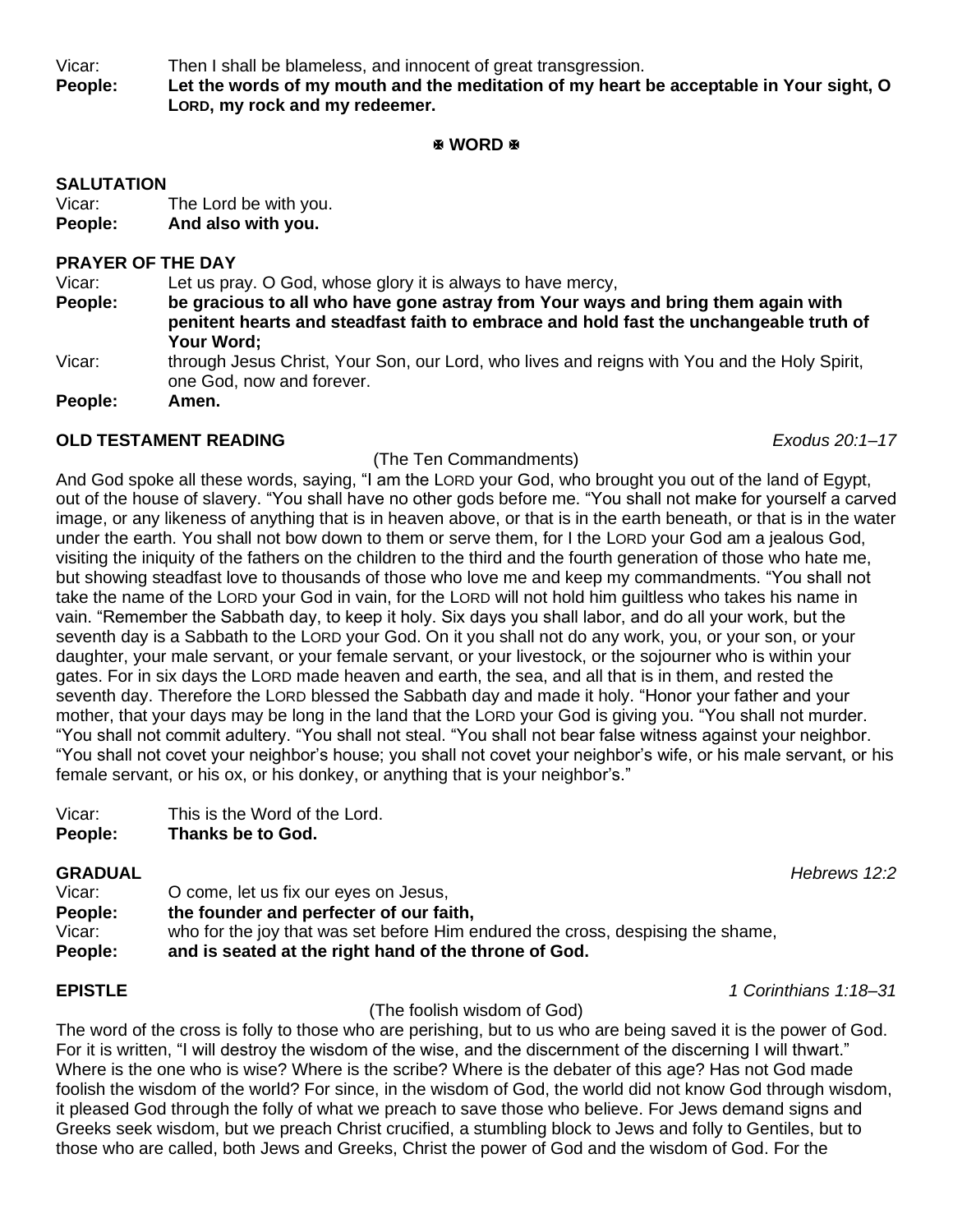Vicar: Then I shall be blameless, and innocent of great transgression.

**People: Let the words of my mouth and the meditation of my heart be acceptable in Your sight, O LORD, my rock and my redeemer.**

#### **WORD**

### **SALUTATION**

Vicar: The Lord be with you. **People: And also with you.**

### **PRAYER OF THE DAY**

Vicar: Let us pray. O God, whose glory it is always to have mercy,

- **People: be gracious to all who have gone astray from Your ways and bring them again with penitent hearts and steadfast faith to embrace and hold fast the unchangeable truth of Your Word;**
- Vicar: through Jesus Christ, Your Son, our Lord, who lives and reigns with You and the Holy Spirit, one God, now and forever.

**People: Amen.**

### **OLD TESTAMENT READING** *Exodus 20:1–17*

### (The Ten Commandments)

And God spoke all these words, saying, "I am the LORD your God, who brought you out of the land of Egypt, out of the house of slavery. "You shall have no other gods before me. "You shall not make for yourself a carved image, or any likeness of anything that is in heaven above, or that is in the earth beneath, or that is in the water under the earth. You shall not bow down to them or serve them, for I the LORD your God am a jealous God, visiting the iniquity of the fathers on the children to the third and the fourth generation of those who hate me, but showing steadfast love to thousands of those who love me and keep my commandments. "You shall not take the name of the LORD your God in vain, for the LORD will not hold him guiltless who takes his name in vain. "Remember the Sabbath day, to keep it holy. Six days you shall labor, and do all your work, but the seventh day is a Sabbath to the LORD your God. On it you shall not do any work, you, or your son, or your daughter, your male servant, or your female servant, or your livestock, or the sojourner who is within your gates. For in six days the LORD made heaven and earth, the sea, and all that is in them, and rested the seventh day. Therefore the LORD blessed the Sabbath day and made it holy. "Honor your father and your mother, that your days may be long in the land that the LORD your God is giving you. "You shall not murder. "You shall not commit adultery. "You shall not steal. "You shall not bear false witness against your neighbor. "You shall not covet your neighbor's house; you shall not covet your neighbor's wife, or his male servant, or his female servant, or his ox, or his donkey, or anything that is your neighbor's."

# **People: Thanks be to God.**

Vicar: O come, let us fix our eyes on Jesus, **People: the founder and perfecter of our faith,** Vicar: who for the joy that was set before Him endured the cross, despising the shame, **People: and is seated at the right hand of the throne of God.**

### **EPISTLE** *1 Corinthians 1:18–31*

### (The foolish wisdom of God)

The word of the cross is folly to those who are perishing, but to us who are being saved it is the power of God. For it is written, "I will destroy the wisdom of the wise, and the discernment of the discerning I will thwart." Where is the one who is wise? Where is the scribe? Where is the debater of this age? Has not God made foolish the wisdom of the world? For since, in the wisdom of God, the world did not know God through wisdom, it pleased God through the folly of what we preach to save those who believe. For Jews demand signs and Greeks seek wisdom, but we preach Christ crucified, a stumbling block to Jews and folly to Gentiles, but to those who are called, both Jews and Greeks, Christ the power of God and the wisdom of God. For the

**GRADUAL** *Hebrews 12:2*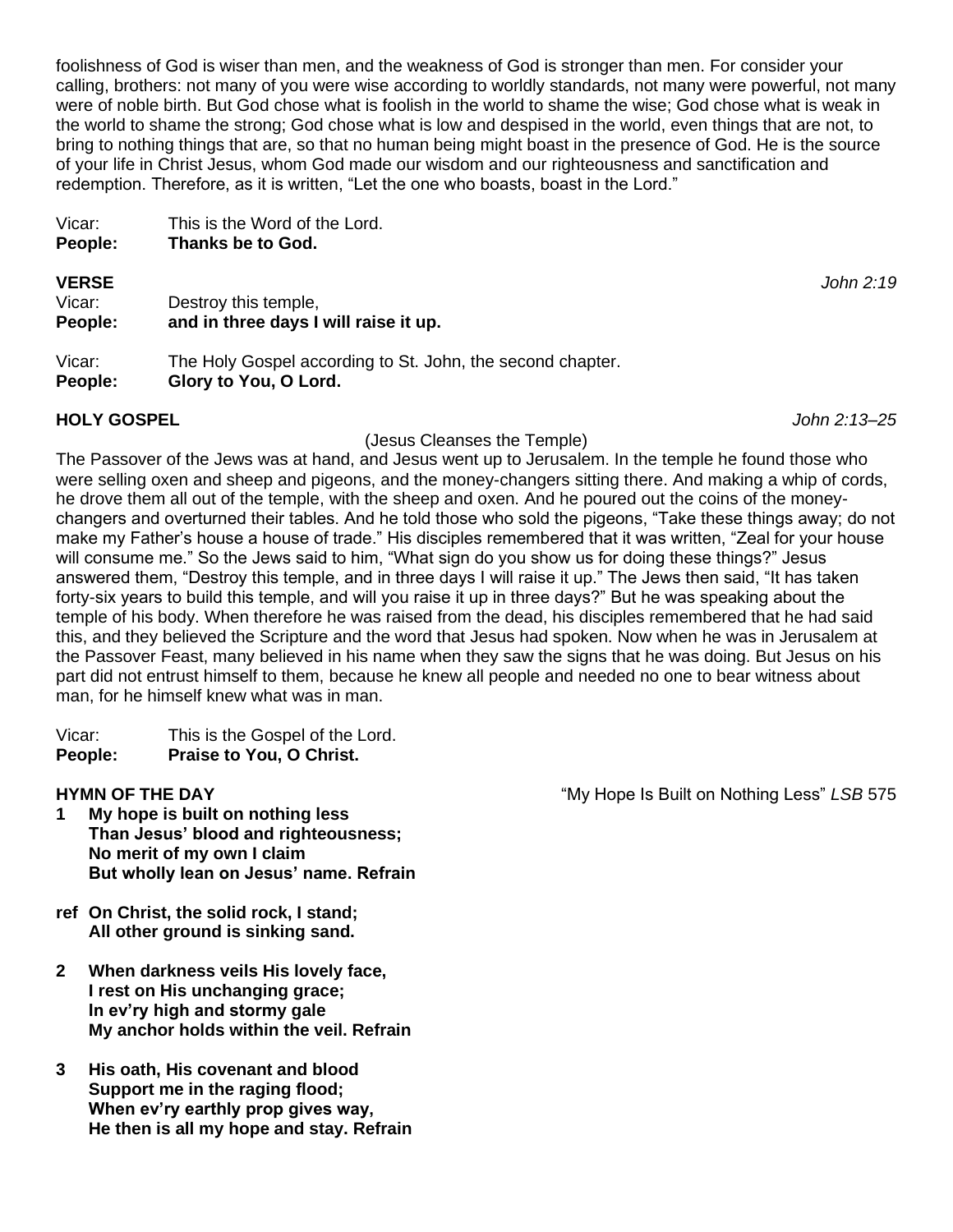foolishness of God is wiser than men, and the weakness of God is stronger than men. For consider your calling, brothers: not many of you were wise according to worldly standards, not many were powerful, not many were of noble birth. But God chose what is foolish in the world to shame the wise; God chose what is weak in the world to shame the strong; God chose what is low and despised in the world, even things that are not, to bring to nothing things that are, so that no human being might boast in the presence of God. He is the source of your life in Christ Jesus, whom God made our wisdom and our righteousness and sanctification and redemption. Therefore, as it is written, "Let the one who boasts, boast in the Lord."

| People: | Thanks be to God.             |
|---------|-------------------------------|
| Vicar:  | This is the Word of the Lord. |

**VERSE** *John 2:19* Vicar: Destroy this temple, **People: and in three days I will raise it up.**

Vicar: The Holy Gospel according to St. John, the second chapter. **People: Glory to You, O Lord.**

# **HOLY GOSPEL** *John 2:13–25*

(Jesus Cleanses the Temple)

The Passover of the Jews was at hand, and Jesus went up to Jerusalem. In the temple he found those who were selling oxen and sheep and pigeons, and the money-changers sitting there. And making a whip of cords, he drove them all out of the temple, with the sheep and oxen. And he poured out the coins of the moneychangers and overturned their tables. And he told those who sold the pigeons, "Take these things away; do not make my Father's house a house of trade." His disciples remembered that it was written, "Zeal for your house will consume me." So the Jews said to him, "What sign do you show us for doing these things?" Jesus answered them, "Destroy this temple, and in three days I will raise it up." The Jews then said, "It has taken forty-six years to build this temple, and will you raise it up in three days?" But he was speaking about the temple of his body. When therefore he was raised from the dead, his disciples remembered that he had said this, and they believed the Scripture and the word that Jesus had spoken. Now when he was in Jerusalem at the Passover Feast, many believed in his name when they saw the signs that he was doing. But Jesus on his part did not entrust himself to them, because he knew all people and needed no one to bear witness about man, for he himself knew what was in man.

Vicar: This is the Gospel of the Lord. **People: Praise to You, O Christ.**

- **1 My hope is built on nothing less Than Jesus' blood and righteousness; No merit of my own I claim But wholly lean on Jesus' name. Refrain**
- **ref On Christ, the solid rock, I stand; All other ground is sinking sand.**
- **2 When darkness veils His lovely face, I rest on His unchanging grace; In ev'ry high and stormy gale My anchor holds within the veil. Refrain**
- **3 His oath, His covenant and blood Support me in the raging flood; When ev'ry earthly prop gives way, He then is all my hope and stay. Refrain**

**HYMN OF THE DAY EXECUTE:** The My Hope Is Built on Nothing Less" *LSB* 575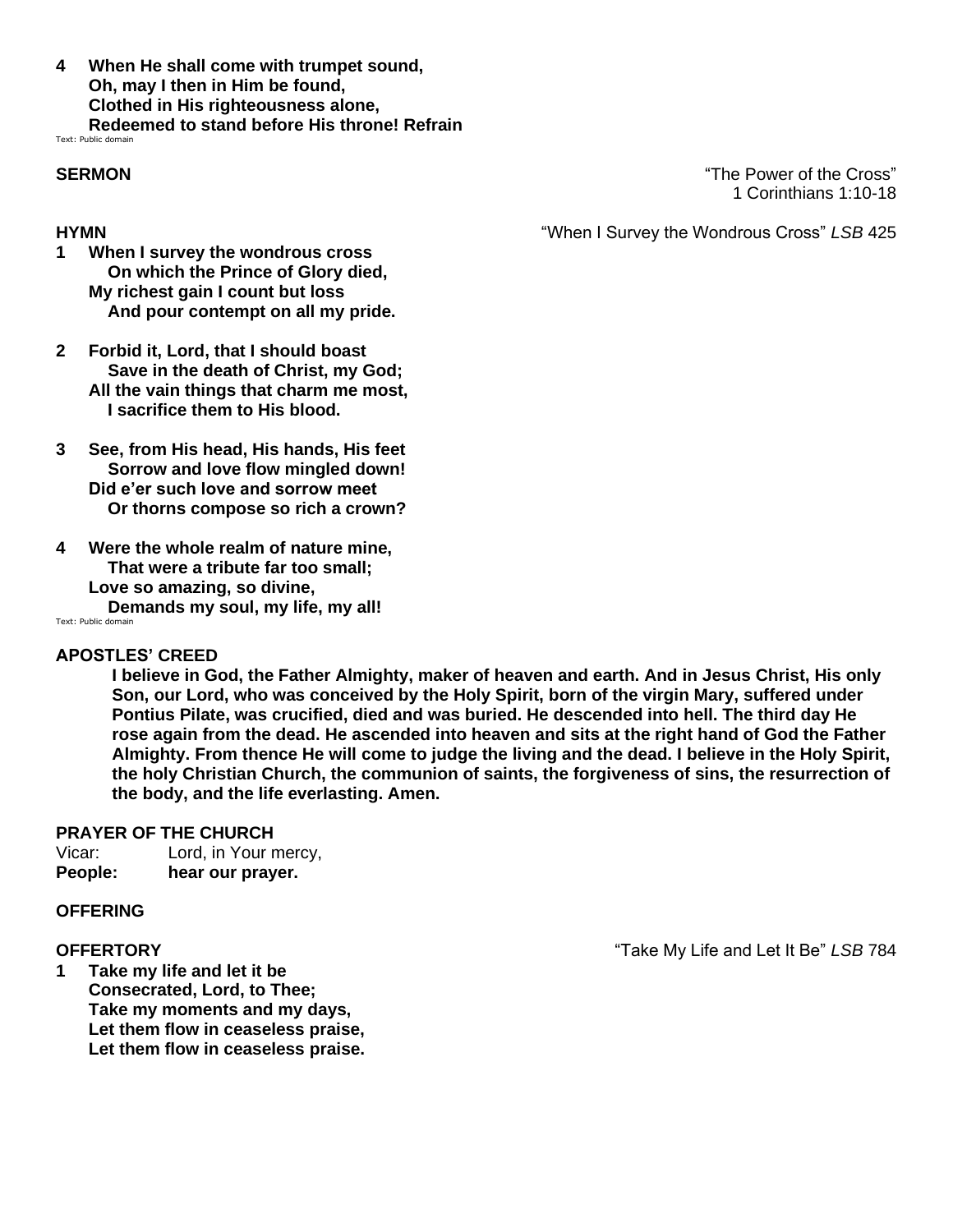**4 When He shall come with trumpet sound, Oh, may I then in Him be found, Clothed in His righteousness alone, Redeemed to stand before His throne! Refrain**

Text: Public domain

**SERMON** "The Power of the Cross" 1 Corinthians 1:10-18

**HYMN** "When I Survey the Wondrous Cross" *LSB* 425

- **1 When I survey the wondrous cross On which the Prince of Glory died, My richest gain I count but loss And pour contempt on all my pride.**
- **2 Forbid it, Lord, that I should boast Save in the death of Christ, my God; All the vain things that charm me most, I sacrifice them to His blood.**
- **3 See, from His head, His hands, His feet Sorrow and love flow mingled down! Did e'er such love and sorrow meet Or thorns compose so rich a crown?**
- **4 Were the whole realm of nature mine, That were a tribute far too small; Love so amazing, so divine, Demands my soul, my life, my all!**

Text: Public domain

#### **APOSTLES' CREED**

**I believe in God, the Father Almighty, maker of heaven and earth. And in Jesus Christ, His only Son, our Lord, who was conceived by the Holy Spirit, born of the virgin Mary, suffered under Pontius Pilate, was crucified, died and was buried. He descended into hell. The third day He rose again from the dead. He ascended into heaven and sits at the right hand of God the Father Almighty. From thence He will come to judge the living and the dead. I believe in the Holy Spirit, the holy Christian Church, the communion of saints, the forgiveness of sins, the resurrection of the body, and the life everlasting. Amen.**

#### **PRAYER OF THE CHURCH**

Vicar: Lord, in Your mercy, **People: hear our prayer.**

#### **OFFERING**

**1 Take my life and let it be Consecrated, Lord, to Thee; Take my moments and my days, Let them flow in ceaseless praise, Let them flow in ceaseless praise.**

**OFFERTORY** "Take My Life and Let It Be" *LSB* 784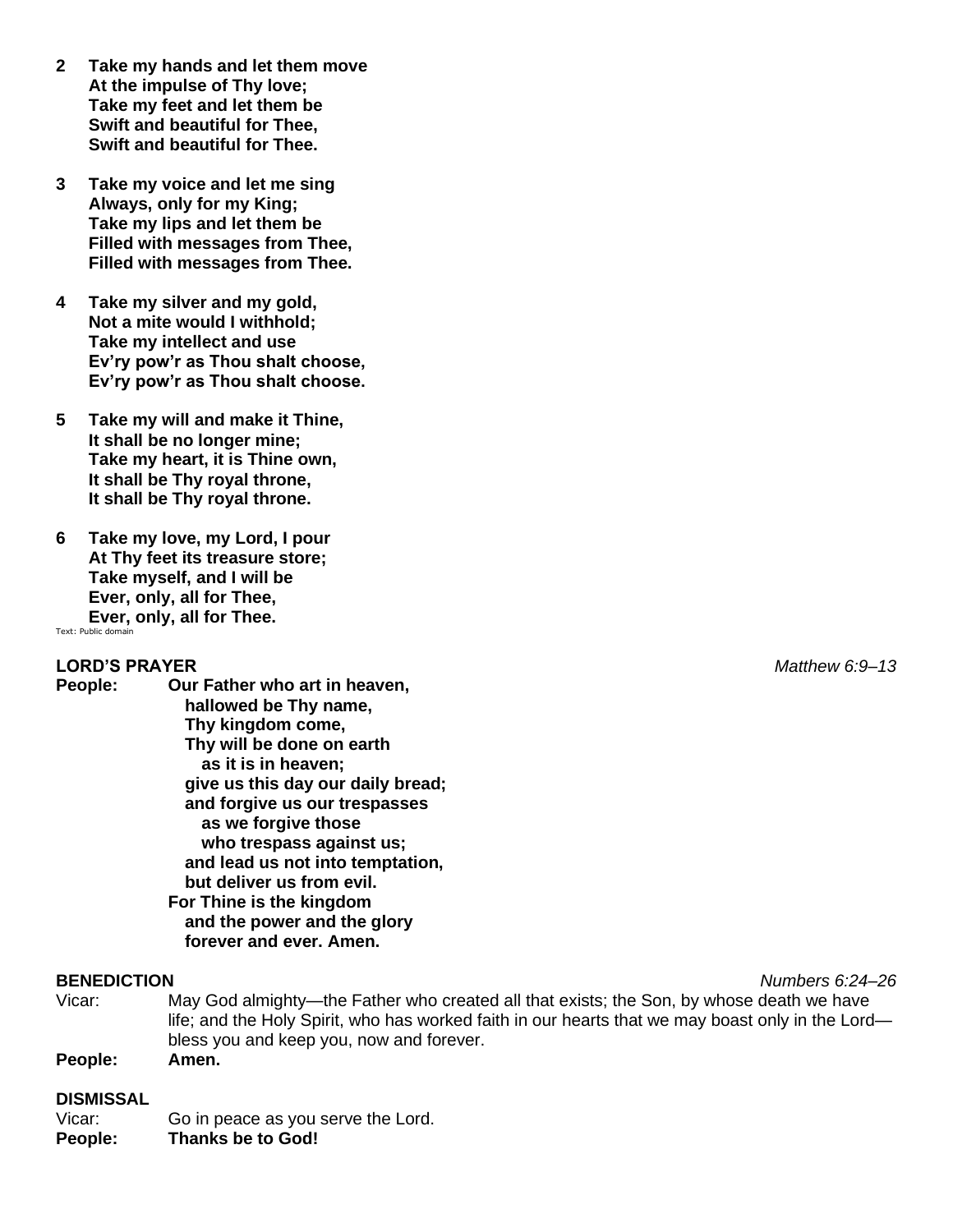- **2 Take my hands and let them move At the impulse of Thy love; Take my feet and let them be Swift and beautiful for Thee, Swift and beautiful for Thee.**
- **3 Take my voice and let me sing Always, only for my King; Take my lips and let them be Filled with messages from Thee, Filled with messages from Thee.**
- **4 Take my silver and my gold, Not a mite would I withhold; Take my intellect and use Ev'ry pow'r as Thou shalt choose, Ev'ry pow'r as Thou shalt choose.**
- **5 Take my will and make it Thine, It shall be no longer mine; Take my heart, it is Thine own, It shall be Thy royal throne, It shall be Thy royal throne.**
- **6 Take my love, my Lord, I pour At Thy feet its treasure store; Take myself, and I will be Ever, only, all for Thee, Ever, only, all for Thee.** Text: Public domain

#### **LORD'S PRAYER** *Matthew 6:9–13*

**People: Our Father who art in heaven, hallowed be Thy name, Thy kingdom come, Thy will be done on earth as it is in heaven; give us this day our daily bread; and forgive us our trespasses as we forgive those who trespass against us; and lead us not into temptation, but deliver us from evil. For Thine is the kingdom and the power and the glory forever and ever. Amen.**

- Vicar: May God almighty—the Father who created all that exists; the Son, by whose death we have life; and the Holy Spirit, who has worked faith in our hearts that we may boast only in the Lord bless you and keep you, now and forever.
- **People: Amen.**

#### **DISMISSAL**

Vicar: Go in peace as you serve the Lord. **People: Thanks be to God!**

**BENEDICTION** *Numbers 6:24–26*